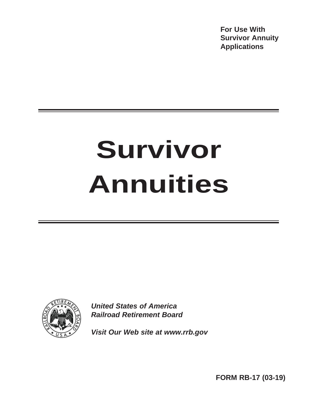**For Use With Survivor Annuity Applications**

# **Survivor Annuities**



*United States of America Railroad Retirement Board*

*Visit Our Web site at www.rrb.gov*

**FORM RB-17 (03-19)**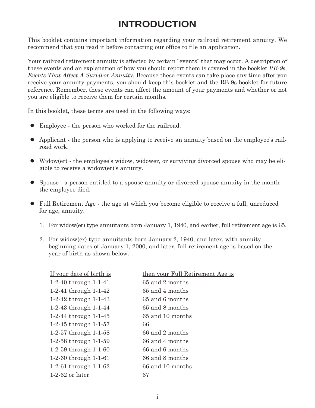# **INTRODUCTION**

This booklet contains important information regarding your railroad retirement annuity. We recommend that you read it before contacting our office to file an application.

Your railroad retirement annuity is affected by certain "events" that may occur. A description of these events and an explanation of how you should report them is covered in the booklet *RB-9s, Events That Affect A Survivor Annuity.* Because these events can take place any time after you receive your annuity payments, you should keep this booklet and the RB-9s booklet for future reference. Remember, these events can affect the amount of your payments and whether or not you are eligible to receive them for certain months.

In this booklet, these terms are used in the following ways:

- Employee the person who worked for the railroad.
- Applicant the person who is applying to receive an annuity based on the employee's railroad work.
- Widow(er) the employee's widow, widower, or surviving divorced spouse who may be eligible to receive a widow(er)'s annuity.
- Spouse a person entitled to a spouse annuity or divorced spouse annuity in the month the employee died.
- Full Retirement Age the age at which you become eligible to receive a full, unreduced for age, annuity.
	- 1. For widow(er) type annuitants born January 1, 1940, and earlier, full retirement age is 65.
	- 2. For widow(er) type annuitants born January 2, 1940, and later, with annuity beginning dates of January 1, 2000, and later, full retirement age is based on the year of birth as shown below.

| If your date of birth is | then your Full Retirement Age is |
|--------------------------|----------------------------------|
| 1-2-40 through $1-1-41$  | 65 and 2 months                  |
| 1-2-41 through $1-1-42$  | 65 and 4 months                  |
| 1-2-42 through $1-1-43$  | 65 and 6 months                  |
| 1-2-43 through $1-1-44$  | 65 and 8 months                  |
| 1-2-44 through $1-1-45$  | 65 and 10 months                 |
| 1-2-45 through $1-1-57$  | 66                               |
| 1-2-57 through $1-1-58$  | 66 and 2 months                  |
| 1-2-58 through $1-1-59$  | 66 and 4 months                  |
| 1-2-59 through $1-1-60$  | 66 and 6 months                  |
| 1-2-60 through $1-1-61$  | 66 and 8 months                  |
| 1-2-61 through $1-1-62$  | 66 and 10 months                 |
| $1-2-62$ or later        | 67                               |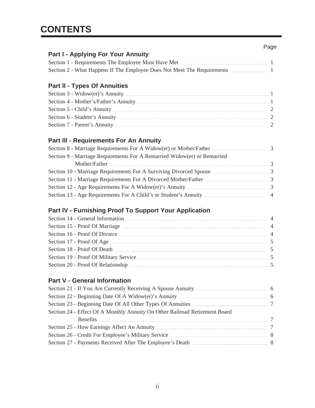| <b>Part I - Applying For Your Annuity</b>                                                                                                                                                                                           |  |
|-------------------------------------------------------------------------------------------------------------------------------------------------------------------------------------------------------------------------------------|--|
| Section 1 - Requirements The Employee Must Have Met                                                                                                                                                                                 |  |
| Section 2 - What Happens If The Employee Does Not Meet The Requirements <b>Employee Does Not Meet The Requirements</b>                                                                                                              |  |
|                                                                                                                                                                                                                                     |  |
| <b>Part II - Types Of Annuities</b>                                                                                                                                                                                                 |  |
|                                                                                                                                                                                                                                     |  |
| Section 4 - Mother's/Father's Annuity [11] Annuity and the section of the Mother's Annuity and the Mother's Annuity and the Mother's Annuity and the Mother's Annuity and the Mother's Annuity and the Mother's Annuity and th      |  |
| Section 5 - Child's Annuity <b>Exercise 2</b> and 2 and 2 and 2 and 2 and 2 and 2 and 2 and 2 and 2 and 2 and 2 and 2 and 2 and 2 and 2 and 2 and 2 and 2 and 2 and 2 and 2 and 2 and 2 and 2 and 2 and 2 and 2 and 2 and 2 and 2 a |  |

## Section 6 - Student's Annuity <u>2000 announ 2000 announ 2000 announ 2000</u> Section 7 - Parent's Annuity <u>2008</u>

### **Part lll - Requirements For An Annuity**

| Section 9 - Marriage Requirements For A Remarried Widow(er) or Remarried                                                                                                                                                                             |  |
|------------------------------------------------------------------------------------------------------------------------------------------------------------------------------------------------------------------------------------------------------|--|
| Mother/Father <u>Executive Communications</u> and the contract of the contract of the contract of the contract of the contract of the contract of the contract of the contract of the contract of the contract of the contract of t<br>$\mathcal{R}$ |  |
| Section 10 - Marriage Requirements For A Surviving Divorced Spouse <b>Example 2014</b> 3                                                                                                                                                             |  |
| Section 11 - Marriage Requirements For A Divorced Mother/Father 2014 11 - Marriage Requirements For A Divorced Mother/Father                                                                                                                         |  |
| Section 12 - Age Requirements For A Widow(er)'s Annuity <b>Example 20</b> 3                                                                                                                                                                          |  |
| Section 13 - Age Requirements For A Child's or Student's Annuity                                                                                                                                                                                     |  |

## **Part lV - Furnishing Proof To Support Your Application**

| Section 14 - General Information <b>Manual Excess Excess Contract Contract Contract Contract Contract Contract Contract Contract Contract Contract Contract Contract Contract Contract Contract Contract Contract Contract Contr</b> |  |
|--------------------------------------------------------------------------------------------------------------------------------------------------------------------------------------------------------------------------------------|--|
| Section 15 - Proof Of Marriage <b>Election</b> 15 - Proof Of Marriage <b>Election</b>                                                                                                                                                |  |
| Section 16 - Proof Of Divorce                                                                                                                                                                                                        |  |
|                                                                                                                                                                                                                                      |  |
| Section 18 - Proof Of Death <u>manufactured and the section</u> 18 - Proof Of Death manufactured and the section 18 - Proof Of Death manufactured and the section of the section of the section of the section of the section of th  |  |
| Section 19 - Proof Of Military Service <b>Execution</b> 2014 12:45 and 2015                                                                                                                                                          |  |
| Section 20 - Proof Of Relationship <b>Manual Excess Contract Contract Contract Contract Contract Contract Contract Contract Contract Contract Contract Contract Contract Contract Contract Contract Contract Contract Contract C</b> |  |

#### **Part V - General Information**

| Section 21 - If You Are Currently Receiving A Spouse Annuity <b>Executive Arms</b> 6                                                                                                                                           |  |
|--------------------------------------------------------------------------------------------------------------------------------------------------------------------------------------------------------------------------------|--|
|                                                                                                                                                                                                                                |  |
|                                                                                                                                                                                                                                |  |
| Section 24 - Effect Of A Monthly Annuity On Other Railroad Retirement Board                                                                                                                                                    |  |
| Benefits 2008 and 2008 and 2008 and 2008 and 2008 and 2008 and 2008 and 2008 and 2008 and 2008 and 2008 and 2008 and 2008 and 2008 and 2008 and 2008 and 2008 and 2008 and 2008 and 2008 and 2008 and 2008 and 2008 and 2008 a |  |
|                                                                                                                                                                                                                                |  |
| Section 26 - Credit For Employee's Military Service <u>Communications</u> 2014 8                                                                                                                                               |  |
| Section 27 - Payments Received After The Employee's Death <b>Emmanual Access 2014</b> 8                                                                                                                                        |  |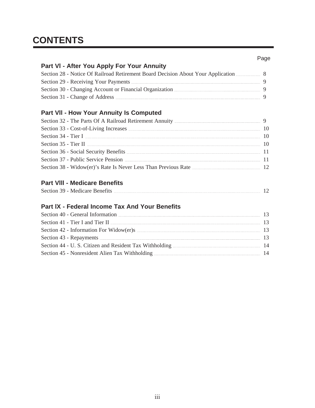# **CONTENTS**

## **Part VI - After You Apply For Your Annuity**

| Section 28 - Notice Of Railroad Retirement Board Decision About Your Application                                                                                                                                                     |          |
|--------------------------------------------------------------------------------------------------------------------------------------------------------------------------------------------------------------------------------------|----------|
| Section 29 - Receiving Your Payments <b>Commission Contract Contract Contract Contract Contract Contract Contract Contract Contract Contract Contract Contract Contract Contract Contract Contract Contract Contract Contract Co</b> | <u>g</u> |
| Section 30 - Changing Account or Financial Organization                                                                                                                                                                              |          |
|                                                                                                                                                                                                                                      | <u>g</u> |

## **Part Vll - How Your Annuity Is Computed**

| Section 33 - Cost-of-Living Increases <b>Exercises Contract 23</b> - Cost-of-Living Increases |  |
|-----------------------------------------------------------------------------------------------|--|
|                                                                                               |  |
| Section 35 - Tier II $\overline{a}$ . The section 35 - Tier II $\overline{a}$                 |  |
| Section 36 - Social Security Benefits <b>Example 2018</b> 2014 2021 2022 2023                 |  |
| Section 37 - Public Service Pension                                                           |  |
|                                                                                               |  |

## **Part Vlll - Medicare Benefits**

| Section 39 - Medicare Benefits |  |  |
|--------------------------------|--|--|
|--------------------------------|--|--|

## **Part lX - Federal Income Tax And Your Benefits**

| Section 40 - General Information <b>Manual Excess Contract Contract Contract Contract Contract Contract Contract Contract Contract Contract Contract Contract Contract Contract Contract Contract Contract Contract Contract Con</b> |            |
|--------------------------------------------------------------------------------------------------------------------------------------------------------------------------------------------------------------------------------------|------------|
| Section 41 - Tier I and Tier II <b>Manual Excess Contact II</b> and Tier II and Tier II and Tier II and Tier II and Tier II and Tier II and Tier II and Tier II and Tier II and Tier II and Tier II and Tier II and Tier II and Tie  |            |
|                                                                                                                                                                                                                                      |            |
| Section 43 - Repayments <b>Election</b> 43 - Repayments                                                                                                                                                                              | $\Box$ 1.3 |
|                                                                                                                                                                                                                                      |            |
| Section 45 - Nonresident Alien Tax Withholding <b>Election</b> 45 - Nonresident Alien Tax Withholding                                                                                                                                |            |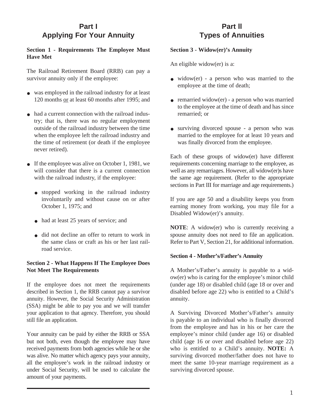## **Part I Applying For Your Annuity**

#### **Section 1 - Requirements The Employee Must Have Met**

The Railroad Retirement Board (RRB) can pay a survivor annuity only if the employee:

- was employed in the railroad industry for at least 120 months or at least 60 months after 1995; and
- had a current connection with the railroad indus try; that is, there was no regular employment outside of the railroad industry between the time when the employee left the railroad industry and the time of retirement (or death if the employee never retired).
- If the employee was alive on October 1, 1981, we will consider that there is a current connection with the railroad industry, if the employee:  $\bullet$ 
	- stopped working in the railroad industry involuntarily and without cause on or after October 1, 1975; and
	- had at least 25 years of service; and
	- did not decline an offer to return to work in the same class or craft as his or her last railroad service.

#### **Section 2 - What Happens If The Employee Does Not Meet The Requirements**

If the employee does not meet the requirements described in Section 1, the RRB cannot pay a survivor annuity. However, the Social Security Administration (SSA) might be able to pay you and we will transfer your application to that agency. Therefore, you should still file an application.

Your annuity can be paid by either the RRB or SSA but not both, even though the employee may have received payments from both agencies while he or she was alive. No matter which agency pays your annuity, all the employee's work in the railroad industry or under Social Security, will be used to calculate the amount of your payments.

## **Part ll Types of Annuities**

#### **Section 3 - Widow(er)'s Annuity**

An eligible widow(er) is a:

- widow(er) a person who was married to the employee at the time of death;
- remarried widow(er) a person who was married to the employee at the time of death and has since remarried; or
- surviving divorced spouse a person who was married to the employee for at least 10 years and was finally divorced from the employee.

Each of these groups of widow(er) have different requirements concerning marriage to the employee, as well as any remarriages. However, all widow(er)s have the same age requirement. (Refer to the appropriate sections in Part III for marriage and age requirements.)

If you are age 50 and a disability keeps you from earning money from working, you may file for a Disabled Widow(er)'s annuity*.*

**NOTE**: A widow(er) who is currently receiving a spouse annuity does not need to file an application. Refer to Part V, Section 21, for additional information.

#### **Section 4 - Mother's/Father's Annuity**

A Mother's/Father's annuity is payable to a widow(er) who is caring for the employee's minor child (under age 18) or disabled child (age 18 or over and disabled before age 22) who is entitled to a Child's annuity.

A Surviving Divorced Mother's/Father's annuity is payable to an individual who is finally divorced from the employee and has in his or her care the employee's minor child (under age 16) or disabled child (age 16 or over and disabled before age 22) who is entitled to a Child's annuity. **NOTE:** A surviving divorced mother/father does not have to meet the same 10-year marriage requirement as a surviving divorced spouse.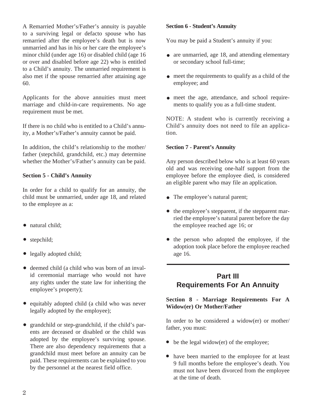A Remarried Mother's/Father's annuity is payable to a surviving legal or defacto spouse who has remarried after the employee's death but is now unmarried and has in his or her care the employee's minor child (under age 16) or disabled child (age 16 or over and disabled before age 22) who is entitled to a Child's annuity. The unmarried requirement is also met if the spouse remarried after attaining age 60.

Applicants for the above annuities must meet marriage and child-in-care requirements. No age requirement must be met.

If there is no child who is entitled to a Child's annuity, a Mother's/Father's annuity cannot be paid.

In addition, the child's relationship to the mother/ father (stepchild, grandchild, etc.) may determine whether the Mother's/Father's annuity can be paid.

#### **Section 5 - Child's Annuity**

In order for a child to qualify for an annuity, the child must be unmarried, under age 18, and related to the employee as a:

- natural child;
- stepchild;  $\bullet$
- legally adopted child;
- deemed child (a child who was born of an inval id ceremonial marriage who would not have any rights under the state law for inheriting the employee's property);
- equitably adopted child (a child who was never legally adopted by the employee);
- grandchild or step-grandchild, if the child's parents are deceased or disabled or the child was adopted by the employee's surviving spouse. There are also dependency requirements that a grandchild must meet before an annuity can be paid. These requirements can be explained to you by the personnel at the nearest field office.  $\bullet$

#### **Section 6 - Student's Annuity**

You may be paid a Student's annuity if you:

- are unmarried, age 18, and attending elementary or secondary school full-time;
- meet the requirements to qualify as a child of the employee; and
- meet the age, attendance, and school require ments to qualify you as a full-time student.

NOTE: A student who is currently receiving a Child's annuity does not need to file an application.

#### **Section 7 - Parent's Annuity**

Any person described below who is at least 60 years old and was receiving one-half support from the employee before the employee died, is considered an eligible parent who may file an application.

- The employee's natural parent;
- the employee's stepparent, if the stepparent married the employee's natural parent before the day the employee reached age 16; or
- the person who adopted the employee, if the adoption took place before the employee reached age 16.

## **Part III Requirements For An Annuity**

#### **Section 8 - Marriage Requirements For A Widow(er) Or Mother/Father**

In order to be considered a widow(er) or mother/ father, you must:

- be the legal widow(er) of the employee;
- have been married to the employee for at least 9 full months before the employee's death. You must not have been divorced from the employee at the time of death.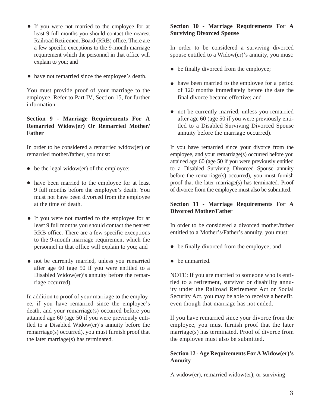- If you were not married to the employee for at least 9 full months you should contact the nearest Railroad Retirement Board (RRB) office. There are a few specific exceptions to the 9-month marriage requirement which the personnel in that office will explain to you; and
- have not remarried since the employee's death.

You must provide proof of your marriage to the employee. Refer to Part IV, Section 15, for further information.

#### **Section 9 - Marriage Requirements For A Remarried Widow(er) Or Remarried Mother/ Father**

In order to be considered a remarried widow(er) or remarried mother/father, you must:

- $\bullet$  be the legal widow(er) of the employee;
- have been married to the employee for at least 9 full months before the employee's death. You must not have been divorced from the employee at the time of death.
- If you were not married to the employee for at least 9 full months you should contact the nearest RRB office. There are a few specific exceptions to the 9-month marriage requirement which the personnel in that office will explain to you; and
- not be currently married, unless you remarried after age 60 (age 50 if you were entitled to a Disabled Widow(er)'s annuity before the remarriage occurred).

In addition to proof of your marriage to the employee, if you have remarried since the employee's death, and your remarriage(s) occurred before you attained age 60 (age 50 if you were previously entitled to a Disabled Widow(er)'s annuity before the remarriage(s) occurred), you must furnish proof that the later marriage(s) has terminated.

#### **Section 10 - Marriage Requirements For A Surviving Divorced Spouse**

In order to be considered a surviving divorced spouse entitled to a Widow(er)'s annuity, you must:

- be finally divorced from the employee;
- have been married to the employee for a period of 120 months immediately before the date the final divorce became effective; and
- not be currently married, unless you remarried after age 60 (age 50 if you were previously entitled to a Disabled Surviving Divorced Spouse annuity before the marriage occurred).

If you have remarried since your divorce from the employee, and your remarriage(s) occurred before you attained age 60 (age 50 if you were previously entitled to a Disabled Surviving Divorced Spouse annuity before the remarriage(s) occurred), you must furnish proof that the later marriage(s) has terminated. Proof of divorce from the employee must also be submitted.

#### **Section 11 - Marriage Requirements For A Divorced Mother/Father**

In order to be considered a divorced mother/father entitled to a Mother's/Father's annuity, you must:

- be finally divorced from the employee; and
- be unmarried.

NOTE: If you are married to someone who is entitled to a retirement, survivor or disability annuity under the Railroad Retirement Act or Social Security Act, you may be able to receive a benefit, even though that marriage has not ended.

If you have remarried since your divorce from the employee, you must furnish proof that the later marriage(s) has terminated. Proof of divorce from the employee must also be submitted.

#### **Section 12 - Age Requirements For A Widow(er)'s Annuity**

A widow(er), remarried widow(er), or surviving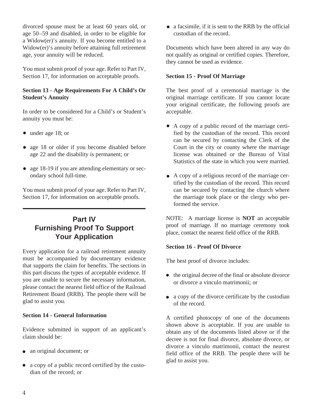divorced spouse must be at least 60 years old, or age 50–59 and disabled, in order to be eligible for a Widow(er)'s annuity. If you become entitled to a Widow(er)'s annuity before attaining full retirement age, your annuity will be reduced.

You must submit proof of your age. Refer to Part IV, Section 17, for information on acceptable proofs.

#### **Section 13 - Age Requirements For A Child's Or Student's Annuity**

In order to be considered for a Child's or Student's annuity you must be:

- under age 18; or
- age 18 or older if you become disabled before age 22 and the disability is permanent; or
- age 18-19 if you are attending elementary or secondary school full-time.

You must submit proof of your age. Refer to Part IV, Section 17, for information on acceptable proofs.

## **Part IV Furnishing Proof To Support Your Application**

Every application for a railroad retirement annuity must be accompanied by documentary evidence that supports the claim for benefits. The sections in this part discuss the types of acceptable evidence. If you are unable to secure the necessary information, please contact the nearest field office of the Railroad Retirement Board (RRB). The people there will be glad to assist you.

#### **Section 14 - General Information**

Evidence submitted in support of an applicant's claim should be:

- an original document; or
- a copy of a public record certified by the custo dian of the record; or

a facsimile, if it is sent to the RRB by the official custodian of the record.

Documents which have been altered in any way do not qualify as original or certified copies. Therefore, they cannot be used as evidence.

#### **Section 15 - Proof Of Marriage**

The best proof of a ceremonial marriage is the original marriage certificate. If you cannot locate your original certificate, the following proofs are acceptable.

- A copy of a public record of the marriage certi fied by the custodian of the record. This record can be secured by contacting the Clerk of the Court in the city or county where the marriage license was obtained or the Bureau of Vital Statistics of the state in which you were married.
- A copy of a religious record of the marriage cer tified by the custodian of the record. This record can be secured by contacting the church where the marriage took place or the clergy who performed the service.

NOTE: A marriage license is **NOT** an acceptable proof of marriage. If no marriage ceremony took place, contact the nearest field office of the RRB.

#### **Section 16 - Proof Of Divorce**

The best proof of divorce includes:

- the original decree of the final or absolute divorce or divorce a vinculo matrimonii; or
- a copy of the divorce certificate by the custodian of the record.

A certified photocopy of one of the documents shown above is acceptable. If you are unable to obtain any of the documents listed above or if the decree is not for final divorce, absolute divorce, or divorce a vinculo matrimonii, contact the nearest field office of the RRB. The people there will be glad to assist you.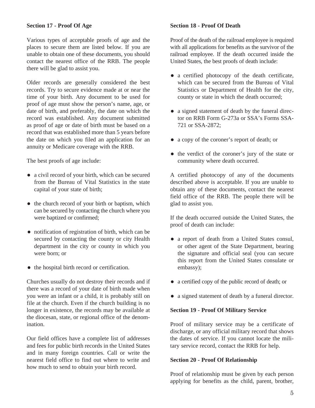Various types of acceptable proofs of age and the places to secure them are listed below. If you are unable to obtain one of these documents, you should contact the nearest office of the RRB. The people there will be glad to assist you.

Older records are generally considered the best records. Try to secure evidence made at or near the time of your birth. Any document to be used for proof of age must show the person's name, age, or date of birth, and preferably, the date on which the record was established. Any document submitted as proof of age or date of birth must be based on a record that was established more than 5 years before the date on which you filed an application for an annuity or Medicare coverage with the RRB.

The best proofs of age include:

- a civil record of your birth, which can be secured from the Bureau of Vital Statistics in the state capital of your state of birth;
- the church record of your birth or baptism, which can be secured by contacting the church where you were baptized or confirmed;
- notification of registration of birth, which can be secured by contacting the county or city Health department in the city or county in which you were born; or
- the hospital birth record or certification.

Churches usually do not destroy their records and if there was a record of your date of birth made when you were an infant or a child, it is probably still on file at the church. Even if the church building is no longer in existence, the records may be available at the diocesan, state, or regional office of the denomination.

Our field offices have a complete list of addresses and fees for public birth records in the United States and in many foreign countries. Call or write the nearest field office to find out where to write and how much to send to obtain your birth record.

#### **Section 18 - Proof Of Death**

Proof of the death of the railroad employee is required with all applications for benefits as the survivor of the railroad employee. If the death occurred inside the United States, the best proofs of death include:

- a certified photocopy of the death certificate, which can be secured from the Bureau of Vital Statistics or Department of Health for the city, county or state in which the death occurred;
- a signed statement of death by the funeral direc tor on RRB Form G-273a or SSA's Forms SSA-721 or SSA-2872;
- a copy of the coroner's report of death; or
- the verdict of the coroner's jury of the state or community where death occurred.

A certified photocopy of any of the documents described above is acceptable. If you are unable to obtain any of these documents, contact the nearest field office of the RRB. The people there will be glad to assist you.

If the death occurred outside the United States, the proof of death can include:

- a report of death from a United States consul, or other agent of the State Department, bearing the signature and official seal (you can secure this report from the United States consulate or embassy);
- a certified copy of the public record of death; or
- a signed statement of death by a funeral director.

#### **Section 19 - Proof Of Military Service**

Proof of military service may be a certificate of discharge, or any official military record that shows the dates of service. If you cannot locate the military service record, contact the RRB for help.

#### **Section 20 - Proof Of Relationship**

Proof of relationship must be given by each person applying for benefits as the child, parent, brother,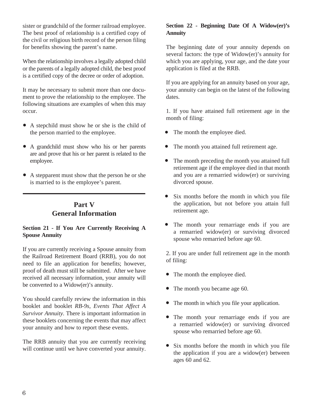sister or grandchild of the former railroad employee. The best proof of relationship is a certified copy of the civil or religious birth record of the person filing for benefits showing the parent's name.

When the relationship involves a legally adopted child or the parents of a legally adopted child, the best proof is a certified copy of the decree or order of adoption.

It may be necessary to submit more than one document to prove the relationship to the employee. The following situations are examples of when this may occur.

- A stepchild must show he or she is the child of the person married to the employee.
- A grandchild must show who his or her parents are and prove that his or her parent is related to the employee.
- A stepparent must show that the person he or she is married to is the employee's parent.

## **Part V General Information**

#### **Section 21 - If You Are Currently Receiving A Spouse Annuity**

If you are currently receiving a Spouse annuity from the Railroad Retirement Board (RRB), you do not need to file an application for benefits; however, proof of death must still be submitted. After we have received all necessary information, your annuity will be converted to a Widow(er)'s annuity.

You should carefully review the information in this booklet and booklet *RB-9s, Events That Affect A Survivor Annuity.* There is important information in these booklets concerning the events that may affect your annuity and how to report these events.

The RRB annuity that you are currently receiving will continue until we have converted your annuity.

#### **Section 22 - Beginning Date Of A Widow(er)'s Annuity**

The beginning date of your annuity depends on several factors: the type of Widow(er)'s annuity for which you are applying, your age, and the date your application is filed at the RRB.

If you are applying for an annuity based on your age, your annuity can begin on the latest of the following dates.

1. If you have attained full retirement age in the month of filing:

- The month the employee died.  $\bullet$
- The month you attained full retirement age.  $\bullet$
- The month preceding the month you attained full retirement age if the employee died in that month and you are a remarried widow(er) or surviving divorced spouse.
- Six months before the month in which you file the application, but not before you attain full retirement age.
- The month your remarriage ends if you are a remarried widow(er) or surviving divorced spouse who remarried before age 60.  $\bullet$

2. If you are under full retirement age in the month of filing:

- The month the employee died.
- The month you became age 60.
- The month in which you file your application.  $\bullet$
- The month your remarriage ends if you are a remarried widow(er) or surviving divorced spouse who remarried before age 60.
- Six months before the month in which you file the application if you are a widow(er) between ages 60 and 62.  $\bullet$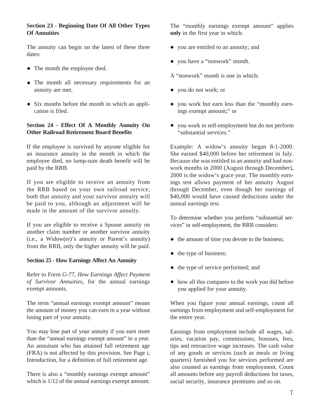#### **Section 23 - Beginning Date Of All Other Types Of Annuities**

The annuity can begin on the latest of these three dates:

- The month the employee died.
- The month all necessary requirements for an annuity are met.
- Six months before the month in which an application is filed.

#### **Section 24 - Effect Of A Monthly Annuity On Other Railroad Retirement Board Benefits**

If the employee is survived by anyone eligible for an insurance annuity in the month in which the employee died, no lump-sum death benefit will be paid by the RRB.

If you are eligible to receive an annuity from the RRB based on your own railroad service, both that annuity and your survivor annuity will be paid to you, although an adjustment will be made in the amount of the survivor annuity.

If you are eligible to receive a Spouse annuity on another claim number or another survivor annuity (i.e., a Widow(er)'s annuity or Parent's annuity) from the RRB, only the higher annuity will be paid.

#### **Section 25 - How Earnings Affect An Annuity**

Refer to Form *G-77, How Earnings Affect Payment of Survivor Annuities*, for the annual earnings exempt amounts.

The term "annual earnings exempt amount" means the amount of money you can earn in a year without losing part of your annuity.

You may lose part of your annuity if you earn more than the "annual earnings exempt amount" in a year. An annuitant who has attained full retirement age (FRA) is not affected by this provision. See Page i, Introduction, for a definition of full retirement age.

There is also a "monthly earnings exempt amount" which is  $1/12$  of the annual earnings exempt amount. The "monthly earnings exempt amount" applies **only** in the first year in which:

- you are entitled to an annuity; and
- you have a "nonwork" month.
- A "nonwork" month is one in which:
- you do not work; or
- you work but earn less than the "monthly earn ings exempt amount;" or
- you work in self-employment but do not perform "substantial services."

Example: A widow's annuity began 8-1-2000. She earned \$40,000 before her retirement in July. Because she was entitled to an annuity and had nonwork months in 2000 (August through December), 2000 is the widow's grace year. The monthly earnings test allows payment of her annuity August through December, even though her earnings of \$40,000 would have caused deductions under the annual earnings test.

To determine whether you perform "substantial services" in self-employment, the RRB considers:

- the amount of time you devote to the business;
- the type of business;
- the type of service performed; and
- how all this compares to the work you did before you applied for your annuity.

When you figure your annual earnings, count all earnings from employment and self-employment for the entire year.

Earnings from employment include all wages, salaries, vacation pay, commissions, bonuses, fees, tips and retroactive wage increases. The cash value of any goods or services (such as meals or living quarters) furnished you for services performed are also counted as earnings from employment. Count all amounts before any payroll deductions for taxes, social security, insurance premiums and so on.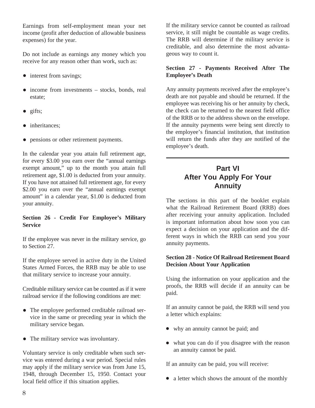Earnings from self-employment mean your net income (profit after deduction of allowable business expenses) for the year.

Do not include as earnings any money which you receive for any reason other than work, such as:

- interest from savings;
- income from investments stocks, bonds, real estate;
- gifts;
- inheritances;  $\bullet$
- pensions or other retirement payments.  $\bullet$

In the calendar year you attain full retirement age, for every \$3.00 you earn over the "annual earnings exempt amount," up to the month you attain full retirement age, \$1.00 is deducted from your annuity. If you have not attained full retirement age, for every \$2.00 you earn over the "annual earnings exempt amount" in a calendar year, \$1.00 is deducted from your annuity.

#### **Section 26 - Credit For Employee's Military Service**

If the employee was never in the military service, go to Section 27.

If the employee served in active duty in the United States Armed Forces, the RRB may be able to use that military service to increase your annuity.

Creditable military service can be counted as if it were railroad service if the following conditions are met:

- The employee performed creditable railroad ser vice in the same or preceding year in which the military service began.
- The military service was involuntary.

Voluntary service is only creditable when such service was entered during a war period. Special rules may apply if the military service was from June 15, 1948, through December 15, 1950. Contact your local field office if this situation applies.

If the military service cannot be counted as railroad service, it still might be countable as wage credits. The RRB will determine if the military service is creditable, and also determine the most advantageous way to count it.

#### **Section 27 - Payments Received After The Employee's Death**

Any annuity payments received after the employee's death are not payable and should be returned. If the employee was receiving his or her annuity by check, the check can be returned to the nearest field office of the RRB or to the address shown on the envelope. If the annuity payments were being sent directly to the employee's financial institution, that institution will return the funds after they are notified of the employee's death.

## **Part VI After You Apply For Your Annuity**

The sections in this part of the booklet explain what the Railroad Retirement Board (RRB) does after receiving your annuity application. Included is important information about how soon you can expect a decision on your application and the different ways in which the RRB can send you your annuity payments.

#### **Section 28 - Notice Of Railroad Retirement Board Decision About Your Application**

Using the information on your application and the proofs, the RRB will decide if an annuity can be paid.

If an annuity cannot be paid, the RRB will send you a letter which explains:

- why an annuity cannot be paid; and
- what you can do if you disagree with the reason an annuity cannot be paid.

If an annuity can be paid, you will receive:

• a letter which shows the amount of the monthly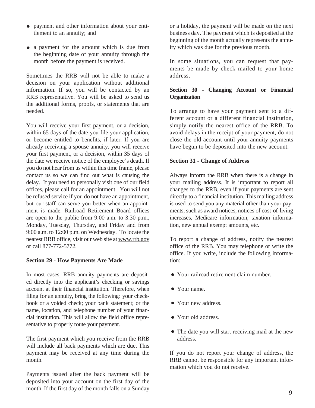- payment and other information about your enti tlement to an annuity; and
- a payment for the amount which is due from the beginning date of your annuity through the month before the payment is received.

Sometimes the RRB will not be able to make a decision on your application without additional information. If so, you will be contacted by an RRB representative. You will be asked to send us the additional forms, proofs, or statements that are needed.

You will receive your first payment, or a decision, within 65 days of the date you file your application, or become entitled to benefits, if later. If you are already receiving a spouse annuity, you will receive your first payment, or a decision, within 35 days of the date we receive notice of the employee's death. If you do not hear from us within this time frame, please contact us so we can find out what is causing the delay. If you need to personally visit one of our field offices, please call for an appointment. You will not be refused service if you do not have an appointment, but our staff can serve you better when an appointment is made. Railroad Retirement Board offices are open to the public from 9:00 a.m. to 3:30 p.m., Monday, Tuesday, Thursday, and Friday and from 9:00 a.m. to 12:00 p.m. on Wednesday. To locate the nearest RRB office, visit our web site at www.rrb.gov or call 877-772-5772.

#### **Section 29 - How Payments Are Made**

In most cases, RRB annuity payments are deposited directly into the applicant's checking or savings account at their financial institution. Therefore, when filing for an annuity, bring the following: your checkbook or a voided check; your bank statement; or the name, location, and telephone number of your financial institution. This will allow the field office representative to properly route your payment.

The first payment which you receive from the RRB will include all back payments which are due. This payment may be received at any time during the month.

Payments issued after the back payment will be deposited into your account on the first day of the month. If the first day of the month falls on a Sunday or a holiday, the payment will be made on the next business day. The payment which is deposited at the beginning of the month actually represents the annuity which was due for the previous month.

In some situations, you can request that payments be made by check mailed to your home address.

#### **Section 30 - Changing Account or Financial Organization**

To arrange to have your payment sent to a different account or a different financial institution, simply notify the nearest office of the RRB. To avoid delays in the receipt of your payment, do not close the old account until your annuity payments have begun to be deposited into the new account.

#### **Section 31 - Change of Address**

Always inform the RRB when there is a change in your mailing address. It is important to report all changes to the RRB, even if your payments are sent directly to a financial institution. This mailing address is used to send you any material other than your payments, such as award notices, notices of cost-of-living increases, Medicare information, taxation information, new annual exempt amounts, etc.

To report a change of address, notify the nearest office of the RRB. You may telephone or write the office. If you write, include the following information:

- Your railroad retirement claim number.
- Your name.
- Your new address.
- Your old address.
- The date you will start receiving mail at the new address.

If you do not report your change of address, the RRB cannot be responsible for any important information which you do not receive.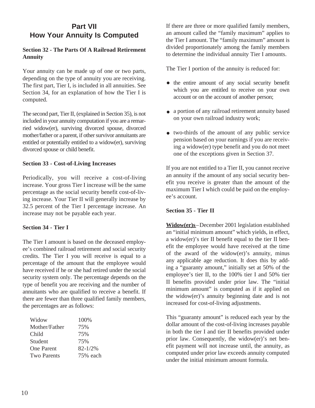## **Part VII How Your Annuity Is Computed**

#### **Section 32 - The Parts Of A Railroad Retirement Annuity**

Your annuity can be made up of one or two parts, depending on the type of annuity you are receiving. The first part, Tier I, is included in all annuities. See Section 34, for an explanation of how the Tier I is computed.

The second part, Tier II, (explained in Section 35), is not included in your annuity computation if you are a remarried widow(er), surviving divorced spouse, divorced mother/father or a parent, if other survivor annuitants are entitled or potentially entitled to a widow(er), surviving divorced spouse or child benefit.

#### **Section 33 - Cost-of-Living Increases**

Periodically, you will receive a cost-of-living increase. Your gross Tier I increase will be the same percentage as the social security benefit cost-of-living increase. Your Tier II will generally increase by 32.5 percent of the Tier I percentage increase. An increase may not be payable each year.

#### **Section 34 - Tier I**

The Tier I amount is based on the deceased employee's combined railroad retirement and social security credits. The Tier I you will receive is equal to a percentage of the amount that the employee would have received if he or she had retired under the social security system only. The percentage depends on the type of benefit you are receiving and the number of annuitants who are qualified to receive a benefit. If there are fewer than three qualified family members, the percentages are as follows:

| 100\%       |
|-------------|
| 75%         |
| 75%         |
| 75%         |
| $82 - 1/2%$ |
| 75% each    |
|             |

If there are three or more qualified family members, an amount called the "family maximum" applies to the Tier I amount. The "family maximum" amount is divided proportionately among the family members to determine the individual annuity Tier I amounts.

The Tier I portion of the annuity is reduced for:

- the entire amount of any social security benefit which you are entitled to receive on your own account or on the account of another person;
- a portion of any railroad retirement annuity based on your own railroad industry work;
- two-thirds of the amount of any public service pension based on your earnings if you are receiving a widow(er) type benefit and you do not meet one of the exceptions given in Section 37.

If you are not entitled to a Tier II, you cannot receive an annuity if the amount of any social security benefit you receive is greater than the amount of the maximum Tier I which could be paid on the employee's account.

#### **Section 35 - Tier II**

**Widow(er)s**–December 2001 legislation established an "initial minimum amount" which yields, in effect, a widow(er)'s tier II benefit equal to the tier II benefit the employee would have received at the time of the award of the widow(er)'s annuity, minus any applicable age reduction. It does this by adding a "guaranty amount," initially set at 50% of the employee's tier II, to the 100% tier I and 50% tier II benefits provided under prior law. The "initial minimum amount" is computed as if it applied on the widow(er)'s annuity beginning date and is not increased for cost-of-living adjustments.

This "guaranty amount" is reduced each year by the dollar amount of the cost-of-living increases payable in both the tier I and tier II benefits provided under prior law. Consequently, the widow(er)'s net benefit payment will not increase until, the annuity, as computed under prior law exceeds annuity computed under the initial minimum amount formula.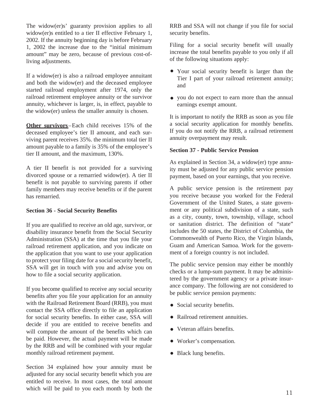The widow(er)s' guaranty provision applies to all widow(er)s entitled to a tier II effective February 1, 2002. If the annuity beginning day is before February 1, 2002 the increase due to the "initial minimum amount" may be zero, because of previous cost-ofliving adjustments.

If a widow(er) is also a railroad employee annuitant and both the widow(er) and the deceased employee started railroad employment after 1974, only the railroad retirement employee annuity or the survivor annuity, whichever is larger, is, in effect, payable to the widow(er) unless the smaller annuity is chosen.

**Other survivors–Each child receives 15% of the** deceased employee's tier II amount, and each surviving parent receives 35%. the minimum total tier II amount payable to a family is 35% of the employee's tier II amount, and the maximum, 130%.

A tier II benefit is not provided for a surviving divorced spouse or a remarried widow(er). A tier II benefit is not payable to surviving parents if other family members may receive benefits or if the parent has remarried.

#### **Section 36 - Social Security Benefits**

If you are qualified to receive an old age, survivor, or disability insurance benefit from the Social Security Administration (SSA) at the time that you file your railroad retirement application, and you indicate on the application that you want to use your application to protect your filing date for a social security benefit, SSA will get in touch with you and advise you on how to file a social security application.

If you become qualified to receive any social security benefits after you file your application for an annuity with the Railroad Retirement Board (RRB), you must contact the SSA office directly to file an application for social security benefits. In either case, SSA will decide if you are entitled to receive benefits and will compute the amount of the benefits which can be paid. However, the actual payment will be made by the RRB and will be combined with your regular monthly railroad retirement payment.

Section 34 explained how your annuity must be adjusted for any social security benefit which you are entitled to receive. In most cases, the total amount which will be paid to you each month by both the RRB and SSA will not change if you file for social security benefits.

Filing for a social security benefit will usually increase the total benefits payable to you only if all of the following situations apply:

- Your social security benefit is larger than the Tier I part of your railroad retirement annuity; and
- you do not expect to earn more than the annual earnings exempt amount.

It is important to notify the RRB as soon as you file a social security application for monthly benefits. If you do not notify the RRB, a railroad retirement annuity overpayment may result.

#### **Section 37 - Public Service Pension**

As explained in Section 34, a widow(er) type annuity must be adjusted for any public service pension payment, based on your earnings, that you receive.

A public service pension is the retirement pay you receive because you worked for the Federal Government of the United States, a state government or any political subdivision of a state, such as a city, county, town, township, village, school or sanitation district. The definition of "state" includes the 50 states, the District of Columbia, the Commonwealth of Puerto Rico, the Virgin Islands, Guam and American Samoa. Work for the government of a foreign country is not included.

The public service pension may either be monthly checks or a lump-sum payment. It may be administered by the government agency or a private insurance company. The following are not considered to be public service pension payments:

- Social security benefits.
- Railroad retirement annuities.
- Veteran affairs benefits.
- Worker's compensation.
- Black lung benefits.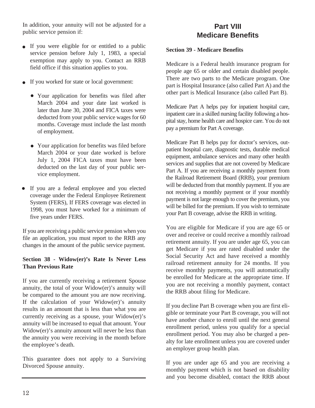In addition, your annuity will not be adjusted for a public service pension if:

- If you were eligible for or entitled to a public service pension before July 1, 1983, a special exemption may apply to you. Contact an RRB field office if this situation applies to you.
- If you worked for state or local government:
	- Your application for benefits was filed after March 2004 and your date last worked is later than June 30, 2004 and FICA taxes were deducted from your public service wages for 60 months. Coverage must include the last month of employment.
	- Your application for benefits was filed before March 2004 or your date worked is before July 1, 2004 FICA taxes must have been deducted on the last day of your public service employment.
- If you are a federal employee and you elected coverage under the Federal Employee Retirement System (FERS), If FERS coverage was elected in 1998, you must have worked for a minimum of five years under FERS.

If you are receiving a public service pension when you file an application, you must report to the RRB any changes in the amount of the public service payment.

#### **Section 38 - Widow(er)'s Rate Is Never Less Than Previous Rate**

If you are currently receiving a retirement Spouse annuity, the total of your Widow(er)'s annuity will be compared to the amount you are now receiving. If the calculation of your Widow(er)'s annuity results in an amount that is less than what you are currently receiving as a spouse, your Widow(er)'s annuity will be increased to equal that amount. Your Widow(er)'s annuity amount will never be less than the annuity you were receiving in the month before the employee's death.

This guarantee does not apply to a Surviving Divorced Spouse annuity.

## **Part VIII Medicare Benefits**

**Section 39 - Medicare Benefits**

Medicare is a Federal health insurance program for people age 65 or older and certain disabled people. There are two parts to the Medicare program. One part is Hospital Insurance (also called Part A) and the other part is Medical Insurance (also called Part B).

Medicare Part A helps pay for inpatient hospital care, inpatient care in a skilled nursing facility following a hospital stay, home health care and hospice care. You do not pay a premium for Part A coverage.

Medicare Part B helps pay for doctor's services, outpatient hospital care, diagnostic tests, durable medical equipment, ambulance services and many other health services and supplies that are not covered by Medicare Part A. If you are receiving a monthly payment from the Railroad Retirement Board (RRB), your premium will be deducted from that monthly payment. If you are not receiving a monthly payment or if your monthly payment is not large enough to cover the premium, you will be billed for the premium. If you wish to terminate your Part B coverage, advise the RRB in writing.

You are eligible for Medicare if you are age 65 or over and receive or could receive a monthly railroad retirement annuity. If you are under age 65, you can get Medicare if you are rated disabled under the Social Security Act and have received a monthly railroad retirement annuity for 24 months. If you receive monthly payments, you will automatically be enrolled for Medicare at the appropriate time. If you are not receiving a monthly payment, contact the RRB about filing for Medicare.

If you decline Part B coverage when you are first eligible or terminate your Part B coverage, you will not have another chance to enroll until the next general enrollment period, unless you qualify for a special enrollment period. You may also be charged a penalty for late enrollment unless you are covered under an employer group health plan.

If you are under age 65 and you are receiving a monthly payment which is not based on disability and you become disabled, contact the RRB about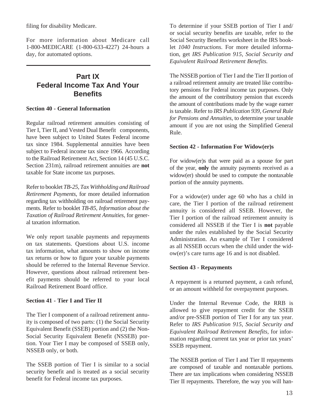filing for disability Medicare.

For more information about Medicare call 1-800-MEDICARE (1-800-633-4227) 24-hours a day, for automated options.

## **Part IX Federal Income Tax And Your Benefits**

#### **Section 40 - General Information**

Regular railroad retirement annuities consisting of Tier I, Tier II, and Vested Dual Benefit components, have been subject to United States Federal income tax since 1984. Supplemental annuities have been subject to Federal income tax since 1966. According to the Railroad Retirement Act, Section 14 (45 U.S.C. Section 231m), railroad retirement annuities are **not** taxable for State income tax purposes.

Refer to booklet *TB-25, Tax Withholding and Railroad Retirement Payments*, for more detailed information regarding tax withholding on railroad retirement payments. Refer to booklet *TB-85, Information about the Taxation of Railroad Retirement Annuities,* for general taxation information.

We only report taxable payments and repayments on tax statements. Questions about U.S. income tax information, what amounts to show on income tax returns or how to figure your taxable payments should be referred to the Internal Revenue Service. However, questions about railroad retirement benefit payments should be referred to your local Railroad Retirement Board office.

#### **Section 41 - Tier I and Tier II**

The Tier I component of a railroad retirement annuity is composed of two parts: (1) the Social Security Equivalent Benefit (SSEB) portion and (2) the Non-Social Security Equivalent Benefit (NSSEB) portion. Your Tier I may be composed of SSEB only, NSSEB only, or both.

The SSEB portion of Tier I is similar to a social security benefit and is treated as a social security benefit for Federal income tax purposes.

To determine if your SSEB portion of Tier I and/ or social security benefits are taxable, refer to the Social Security Benefits worksheet in the IRS booklet *1040 Instructions*. For more detailed information, get *IRS Publication 915, Social Security and Equivalent Railroad Retirement Benefits.*

The NSSEB portion of Tier I and the Tier II portion of a railroad retirement annuity are treated like contributory pensions for Federal income tax purposes. Only the amount of the contributory pension that exceeds the amount of contributions made by the wage earner is taxable. Refer to *IRS Publication 939, General Rule for Pensions and Annuities,* to determine your taxable amount if you are not using the Simplified General Rule.

#### **Section 42 - Information For Widow(er)s**

For widow(er)s that were paid as a spouse for part of the year, **only** the annuity payments received as a widow(er) should be used to compute the nontaxable portion of the annuity payments.

For a widow(er) under age 60 who has a child in care, the Tier I portion of the railroad retirement annuity is considered all SSEB. However, the Tier I portion of the railroad retirement annuity is considered all NSSEB if the Tier I is **not** payable under the rules established by the Social Security Administration. An example of Tier I considered as all NSSEB occurs when the child under the widow(er)'s care turns age 16 and is not disabled.

#### **Section 43 - Repayments**

A repayment is a returned payment, a cash refund, or an amount withheld for overpayment purposes.

Under the Internal Revenue Code, the RRB is allowed to give repayment credit for the SSEB and/or pre-SSEB portion of Tier I for any tax year. Refer to *IRS Publication 915, Social Security and Equivalent Railroad Retirement Benefits,* for information regarding current tax year or prior tax years' SSEB repayment.

The NSSEB portion of Tier I and Tier II repayments are composed of taxable and nontaxable portions. There are tax implications when considering NSSEB Tier II repayments. Therefore, the way you will han-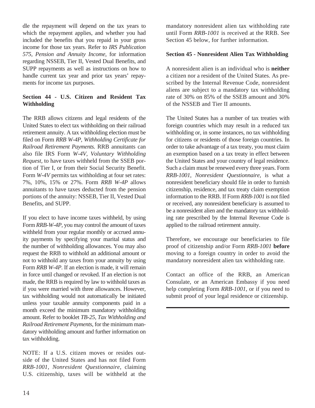dle the repayment will depend on the tax years to which the repayment applies, and whether you had included the benefits that you repaid in your gross income for those tax years. Refer to *IRS Publication 575, Pension and Annuity Income*, for information regarding NSSEB, Tier II, Vested Dual Benefits, and SUPP repayments as well as instructions on how to handle current tax year and prior tax years' repayments for income tax purposes.

#### **Section 44 - U.S. Citizen and Resident Tax Withholding**

The RRB allows citizens and legal residents of the United States to elect tax withholding on their railroad retirement annuity. A tax withholding election must be filed on Form *RRB W-4P, Withholding Certificate for Railroad Retirement Payments.* RRB annuitants can also file IRS Form *W-4V, Voluntary Withholding Request,* to have taxes withheld from the SSEB portion of Tier I, or from their Social Security Benefit. Form *W-4V* permits tax withholding at four set rates: 7%, 10%, 15% or 27%. Form *RRB W-4P* allows annuitants to have taxes deducted from the pension portions of the annuity: NSSEB, Tier II, Vested Dual Benefits, and SUPP.

If you elect to have income taxes withheld, by using Form *RRB-W-4P,* you may control the amount of taxes withheld from your regular monthly or accrued annuity payments by specifying your marital status and the number of withholding allowances. You may also request the RRB to withhold an additional amount or not to withhold any taxes from your annuity by using Form *RRB W-4P*. If an election is made, it will remain in force until changed or revoked. If an election is not made, the RRB is required by law to withhold taxes as if you were married with three allowances. However, tax withholding would not automatically be initiated unless your taxable annuity components paid in a month exceed the minimum mandatory withholding amount. Refer to booklet *TB-25, Tax Withholding and Railroad Retirement Payments*, for the minimum mandatory withholding amount and further information on tax withholding.

NOTE: If a U.S. citizen moves or resides outside of the United States and has not filed Form *RRB-1001, Nonresident Questionnaire*, claiming U.S. citizenship, taxes will be withheld at the mandatory nonresident alien tax withholding rate until Form *RRB-1001* is received at the RRB. See Section 45 below, for further information.

#### **Section 45 - Nonresident Alien Tax Withholding**

A nonresident alien is an individual who is **neither** a citizen nor a resident of the United States. As prescribed by the Internal Revenue Code, nonresident aliens are subject to a mandatory tax withholding rate of 30% on 85% of the SSEB amount and 30% of the NSSEB and Tier II amounts.

The United States has a number of tax treaties with foreign countries which may result in a reduced tax withholding or, in some instances, no tax withholding for citizens or residents of those foreign countries. In order to take advantage of a tax treaty, you must claim an exemption based on a tax treaty in effect between the United States and your country of legal residence. Such a claim must be renewed every three years. Form *RRB-1001, Nonresident Questionnaire,* is what a nonresident beneficiary should file in order to furnish citizenship, residence, and tax treaty claim exemption information to the RRB. If Form *RRB-1001* is not filed or received, any nonresident beneficiary is assumed to be a nonresident alien and the mandatory tax withholding rate prescribed by the Internal Revenue Code is applied to the railroad retirement annuity.

Therefore, we encourage our beneficiaries to file proof of citizenship and/or Form *RRB-1001* **before**  moving to a foreign country in order to avoid the mandatory nonresident alien tax withholding rate.

Contact an office of the RRB, an American Consulate, or an American Embassy if you need help completing Form *RRB-1001,* or if you need to submit proof of your legal residence or citizenship.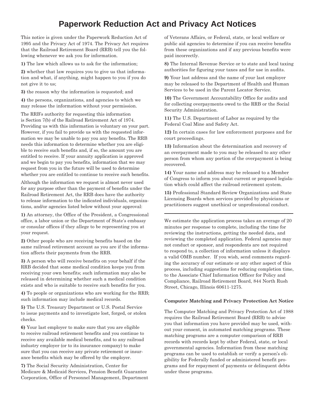# **Paperwork Reduction Act and Privacy Act Notices**

This notice is given under the Paperwork Reduction Act of 1995 and the Privacy Act of 1974. The Privacy Act requires that the Railroad Retirement Board (RRB) tell you the following whenever we ask you for information.

**1)** The law which allows us to ask for the information;

**2)** whether that law requires you to give us that information and what, if anything, might happen to you if you do not give it to us;

**3)** the reason why the information is requested; and

**4)** the persons, organizations, and agencies to which we may release the information without your permission.

The RRB's authority for requesting this information is Section 7(b) of the Railroad Retirement Act of 1974. Providing us with this information is voluntary on your part. However, if you fail to provide us with the requested information we may be unable to pay you any benefits. The RRB needs this information to determine whether you are eligible to receive such benefits and, if so, the amount you are entitled to receive. If your annuity application is approved and we begin to pay you benefits, information that we may request from you in the future will be used to determine whether you are entitled to continue to receive such benefits.

Although the information we request is almost never used for any purpose other than the payment of benefits under the Railroad Retirement Act, the RRB does have the authority to release information to the indicated individuals, organizations, and/or agencies listed below without your approval:

**1)** An attorney, the Office of the President, a Congressional office, a labor union or the Department of State's embassy or consular offices if they allege to be representing you at your request.

**2)** Other people who are receiving benefits based on the same railroad retirement account as you are if the information affects their payments from the RRB.

**3)** A person who will receive benefits on your behalf if the RRB decided that some medical condition keeps you from receiving your own benefits; such information may also be released in determining whether such a medical condition exists and who is suitable to receive such benefits for you.

**4)** To people or organizations who are working for the RRB; such information may include medical records.

**5)** The U.S. Treasury Department or U.S. Postal Service to issue payments and to investigate lost, forged, or stolen checks.

**6)** Your last employer to make sure that you are eligible to receive railroad retirement benefits and you continue to receive any available medical benefits, and to any railroad industry employer (or to its insurance company) to make sure that you can receive any private retirement or insurance benefits which may be offered by the employer.

**7)** The Social Security Administration, Center for Medicare & Medicaid Services, Pension Benefit Guarantee Corporation, Office of Personnel Management, Department of Veterans Affairs, or Federal, state, or local welfare or public aid agencies to determine if you can receive benefits from these organizations and if any previous benefits were paid incorrectly.

**8)** The Internal Revenue Service or to state and local taxing authorities for figuring your taxes and for use in audits.

**9)** Your last address and the name of your last employer may be released to the Department of Health and Human Services to be used in the Parent Locator Service.

**10)** The Government Accountability Office for audits and for collecting overpayments owed to the RRB or the Social Security Administration.

**11)** The U.S. Department of Labor as required by the Federal Coal Mine and Safety Act.

**12)** In certain cases for law enforcement purposes and for court proceedings.

**13)** Information about the determination and recovery of an overpayment made to you may be released to any other person from whom any portion of the overpayment is being recovered.

**14)** Your name and address may be released to a Member of Congress to inform you about current or proposed legislation which could affect the railroad retirement system.

**15)** Professional Standard Review Organizations and State Licensing Boards when services provided by physicians or practitioners suggest unethical or unprofessional conduct.

We estimate the application process takes an average of 20 minutes per response to complete, including the time for reviewing the instructions, getting the needed data, and reviewing the completed application. Federal agencies may not conduct or sponsor, and respondents are not required to respond to, a collection of information unless it displays a valid OMB number. If you wish, send comments regarding the accuracy of our estimate or any other aspect of this process, including suggestions for reducing completion time, to the Associate Chief Information Officer for Policy and Compliance, Railroad Retirement Board, 844 North Rush Street, Chicago, Illinois 60611-1275.

#### **Computer Matching and Privacy Protection Act Notice**

The Computer Matching and Privacy Protection Act of 1988 requires the Railroad Retirement Board (RRB) to advise you that information you have provided may be used, without your consent, in automated matching programs. These matching programs are a computer comparison of RRB records with records kept by other Federal, state, or local governmental agencies. Information from these matching programs can be used to establish or verify a person's eligibility for Federally funded or administered benefit programs and for repayment of payments or delinquent debts under these programs.